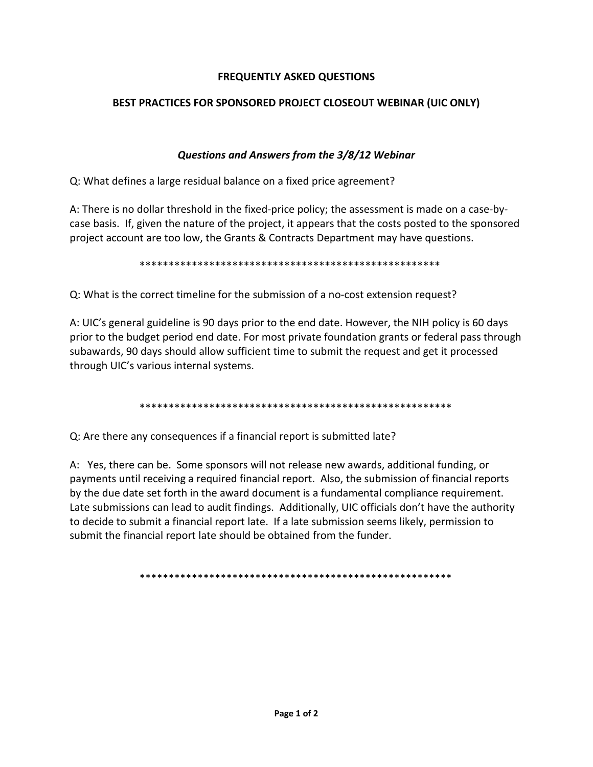# **FREQUENTLY ASKED QUESTIONS**

# BEST PRACTICES FOR SPONSORED PROJECT CLOSEOUT WEBINAR (UIC ONLY)

# Questions and Answers from the 3/8/12 Webinar

Q: What defines a large residual balance on a fixed price agreement?

A: There is no dollar threshold in the fixed-price policy; the assessment is made on a case-bycase basis. If, given the nature of the project, it appears that the costs posted to the sponsored project account are too low, the Grants & Contracts Department may have questions.

Q: What is the correct timeline for the submission of a no-cost extension request?

A: UIC's general guideline is 90 days prior to the end date. However, the NIH policy is 60 days prior to the budget period end date. For most private foundation grants or federal pass through subawards, 90 days should allow sufficient time to submit the request and get it processed through UIC's various internal systems.

Q: Are there any consequences if a financial report is submitted late?

A: Yes, there can be. Some sponsors will not release new awards, additional funding, or payments until receiving a required financial report. Also, the submission of financial reports by the due date set forth in the award document is a fundamental compliance requirement. Late submissions can lead to audit findings. Additionally, UIC officials don't have the authority to decide to submit a financial report late. If a late submission seems likely, permission to submit the financial report late should be obtained from the funder.